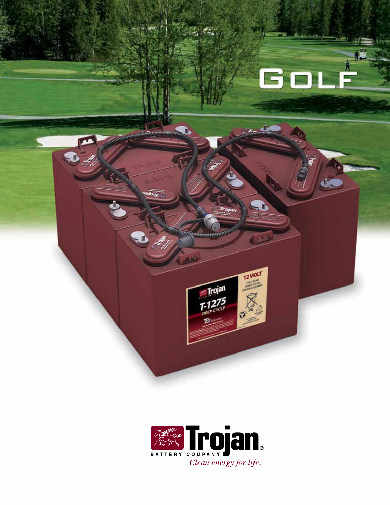

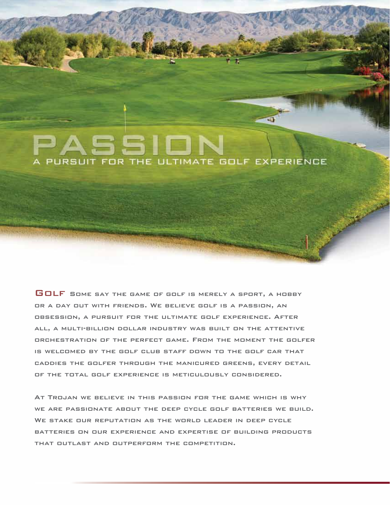# A PURSUIT FOR THE ULTIMATE GOLF EXPERIENCE

GOLF SOME SAY THE GAME OF GOLF IS MERELY A SPORT, A HOBBY or a day out with friends. We believe golf is a passion, an obsession, a pursuit for the ultimate golf experience. After all, a multi-billion dollar industry was built on the attentive orchestration of the perfect game. From the moment the golfer is welcomed by the golf club staff down to the golf car that caddies the golfer through the manicured greens, every detail of the total golf experience is meticulously considered.

At Trojan we believe in this passion for the game which is why we are passionate about the deep cycle golf batteries we build. We stake our reputation as the world leader in deep cycle batteries on our experience and expertise of building products that outlast and outperform the competition.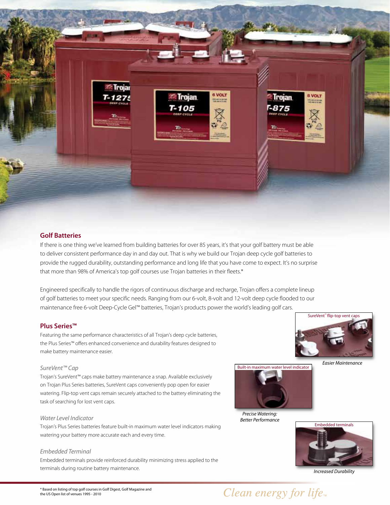

#### **Golf Batteries**

If there is one thing we've learned from building batteries for over 85 years, it's that your golf battery must be able to deliver consistent performance day in and day out. That is why we build our Trojan deep cycle golf batteries to provide the rugged durability, outstanding performance and long life that you have come to expect. It's no surprise that more than 98% of America's top golf courses use Trojan batteries in their fleets.\*

Engineered specifically to handle the rigors of continuous discharge and recharge, Trojan offers a complete lineup of golf batteries to meet your specific needs. Ranging from our 6-volt, 8-volt and 12-volt deep cycle flooded to our maintenance free 6-volt Deep-Cycle Gel™ batteries, Trojan's products power the world's leading golf cars.

### **Plus Series™**

Featuring the same performance characteristics of all Trojan's deep cycle batteries, the Plus Series™ offers enhanced convenience and durability features designed to make battery maintenance easier.

#### SureVent™ Cap

Trojan's SureVent™ caps make battery maintenance a snap. Available exclusively on Trojan Plus Series batteries, SureVent caps conveniently pop open for easier watering. Flip-top vent caps remain securely attached to the battery eliminating the task of searching for lost vent caps.

#### Water Level Indicator

Trojan's Plus Series batteries feature built-in maximum water level indicators making watering your battery more accurate each and every time.

#### Embedded Terminal

Embedded terminals provide reinforced durability minimizing stress applied to the terminals during routine battery maintenance.



Easier Maintenance



Precise Watering: Better Performance



Increased Durability

### Clean energy for life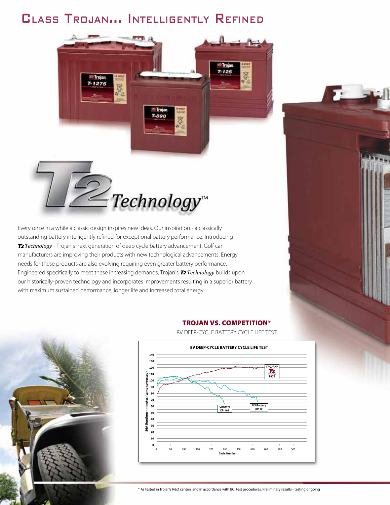### CLASS TROJAN... INTELLIGENTLY REFINED

T-890



 $-1275$ 

Every once in a while a classic design inspires new ideas. Our inspiration - a classically outstanding battery intelligently refined for exceptional battery performance. Introducing T2*Technology* - Trojan's next generation of deep cycle battery advancement. Golf car manufacturers are improving their products with new technological advancements. Energy needs for these products are also evolving requiring even greater battery performance. Engineered specifically to meet these increasing demands, Trojan's T2*Technology* builds upon our historically-proven technology and incorporates improvements resulting in a superior battery with maximum sustained performance, longer life and increased total energy.



#### Trojan vs. CompeTiTion\*

 $T - 125$ 



8V DEEP-CYCLE BATTERY CYCLE LIFE TEST



\* As tested in Trojan's R&D centers and in accordance with BCI test procedures. Preliminary results - testing ongoing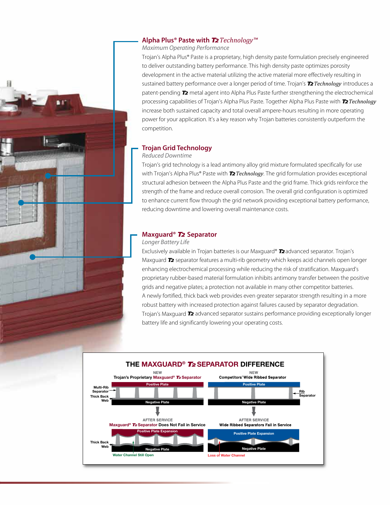#### **Alpha Plus® Paste with** T2*Technology™*

Maximum Operating Performance

Trojan's Alpha Plus® Paste is a proprietary, high density paste formulation precisely engineered to deliver outstanding battery performance. This high density paste optimizes porosity development in the active material utilizing the active material more effectively resulting in sustained battery performance over a longer period of time. Trojan's T2*Technology* introduces a patent-pending  $\mathcal T$  metal agent into Alpha Plus Paste further strengthening the electrochemical processing capabilities of Trojan's Alpha Plus Paste. Together Alpha Plus Paste with T2*Technology* increase both sustained capacity and total overall ampere-hours resulting in more operating power for your application. It's a key reason why Trojan batteries consistently outperform the competition.

#### **Trojan Grid Technology**

#### Reduced Downtime

Trojan's grid technology is a lead antimony alloy grid mixture formulated specifically for use with Trojan's Alpha Plus® Paste with T2*Technology*. The grid formulation provides exceptional structural adhesion between the Alpha Plus Paste and the grid frame. Thick grids reinforce the strength of the frame and reduce overall corrosion. The overall grid configuration is optimized to enhance current flow through the grid network providing exceptional battery performance, reducing downtime and lowering overall maintenance costs.

#### **Maxguard®** T2 **Separator**

#### Longer Battery Life

Exclusively available in Trojan batteries is our Maxquard® T2 advanced separator. Trojan's Maxquard **T2** separator features a multi-rib geometry which keeps acid channels open longer enhancing electrochemical processing while reducing the risk of stratification. Maxguard's proprietary rubber-based material formulation inhibits antimony transfer between the positive grids and negative plates; a protection not available in many other competitor batteries. A newly fortified, thick back web provides even greater separator strength resulting in a more robust battery with increased protection against failures caused by separator degradation. Trojan's Maxguard T2 advanced separator sustains performance providing exceptionally longer battery life and significantly lowering your operating costs.

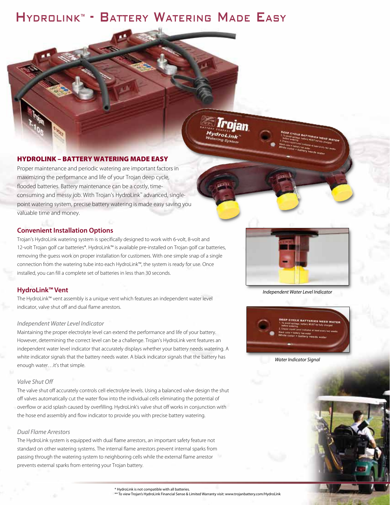### HYDROLINK™ - BATTERY WATERING MADE EASY

#### HydroLink – BaTTery WaTering made easy

Proper maintenance and periodic watering are important factors in maximizing the performance and life of your Trojan deep cycle, flooded batteries. Battery maintenance can be a costly, timeconsuming and messy job. With Trojan's HydroLink ™ advanced, singlepoint watering system, precise battery watering is made easy saving you valuable time and money.

#### **Convenient Installation Options**

Trojan's HydroLink watering system is specifically designed to work with 6-volt, 8-volt and 12-volt Trojan golf car batteries\*. HydroLink™ is available pre-installed on Trojan golf car batteries, removing the guess work on proper installation for customers. With one simple snap of a single connection from the watering tube into each HydroLink™, the system is ready for use. Once installed, you can fill a complete set of batteries in less than 30 seconds.

#### **HydroLink™ Vent**

The HydroLink™ vent assembly is a unique vent which features an independent water level indicator, valve shut off and dual flame arrestors.

#### Independent Water Level Indicator

Maintaining the proper electrolyte level can extend the performance and life of your battery. However, determining the correct level can be a challenge. Trojan's HydroLink vent features an independent water level indicator that accurately displays whether your battery needs watering. A white indicator signals that the battery needs water. A black indicator signals that the battery has enough water…it's that simple.

#### Valve Shut Off

The valve shut off accurately controls cell electrolyte levels. Using a balanced valve design the shut off valves automatically cut the water flow into the individual cells eliminating the potential of overflow or acid splash caused by overfilling. HydroLink's valve shut off works in conjunction with the hose end assembly and flow indicator to provide you with precise battery watering.

#### Dual Flame Arrestors

The HydroLink system is equipped with dual flame arrestors, an important safety feature not standard on other watering systems. The internal flame arrestors prevent internal sparks from passing through the watering system to neighboring cells while the external flame arrestor prevents external sparks from entering your Trojan battery.

Trojan

**ydroLink** 

Independent Water Level Indicator





\* HydroLink is not compatible with all batteries.

\*\* To view Trojan's HydroLink Financial Sense & Limited Warranty visit: www.trojanbattery.com/HydroLink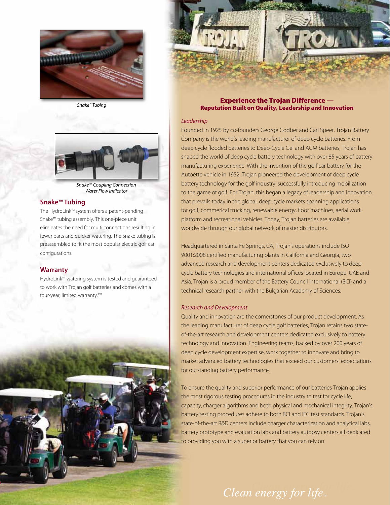

Snake ™ Tubing



Snake™ Coupling Connection Water Flow Indicator

#### **Snake™ Tubing**

The HydroLink™ system offers a patent-pending Snake™ tubing assembly. This one-piece unit eliminates the need for multi connections resulting in fewer parts and quicker watering. The Snake tubing is preassembled to fit the most popular electric golf car configurations.

#### **Warranty**

HydroLink™ watering system is tested and guaranteed to work with Trojan golf batteries and comes with a four-year, limited warranty.\*\*



Experience the Trojan Difference — **Reputation Built on Quality, Leadership and Innovation** 

#### Leadership

Founded in 1925 by co-founders George Godber and Carl Speer, Trojan Battery Company is the world's leading manufacturer of deep cycle batteries. From deep cycle flooded batteries to Deep-Cycle Gel and AGM batteries, Trojan has shaped the world of deep cycle battery technology with over 85 years of battery manufacturing experience. With the invention of the golf car battery for the Autoette vehicle in 1952, Trojan pioneered the development of deep cycle battery technology for the golf industry; successfully introducing mobilization to the game of golf. For Trojan, this began a legacy of leadership and innovation that prevails today in the global, deep cycle markets spanning applications for golf, commerical trucking, renewable energy, floor machines, aerial work platform and recreational vehicles. Today, Trojan batteries are available worldwide through our global network of master distributors.

Headquartered in Santa Fe Springs, CA, Trojan's operations include ISO 9001:2008 certified manufacturing plants in California and Georgia, two advanced research and development centers dedicated exclusively to deep cycle battery technologies and international offices located in Europe, UAE and Asia. Trojan is a proud member of the Battery Council International (BCI) and a technical research partner with the Bulgarian Academy of Sciences.

#### Research and Development

Quality and innovation are the cornerstones of our product development. As the leading manufacturer of deep cycle golf batteries, Trojan retains two stateof-the-art research and development centers dedicated exclusively to battery technology and innovation. Engineering teams, backed by over 200 years of deep cycle development expertise, work together to innovate and bring to market advanced battery technologies that exceed our customers' expectations for outstanding battery performance.

To ensure the quality and superior performance of our batteries Trojan applies the most rigorous testing procedures in the industry to test for cycle life, capacity, charger algorithms and both physical and mechanical integrity. Trojan's battery testing procedures adhere to both BCI and IEC test standards. Trojan's state-of-the-art R&D centers include charger characterization and analytical labs, battery prototype and evaluation labs and battery autopsy centers all dedicated to providing you with a superior battery that you can rely on.

Clean energy for life